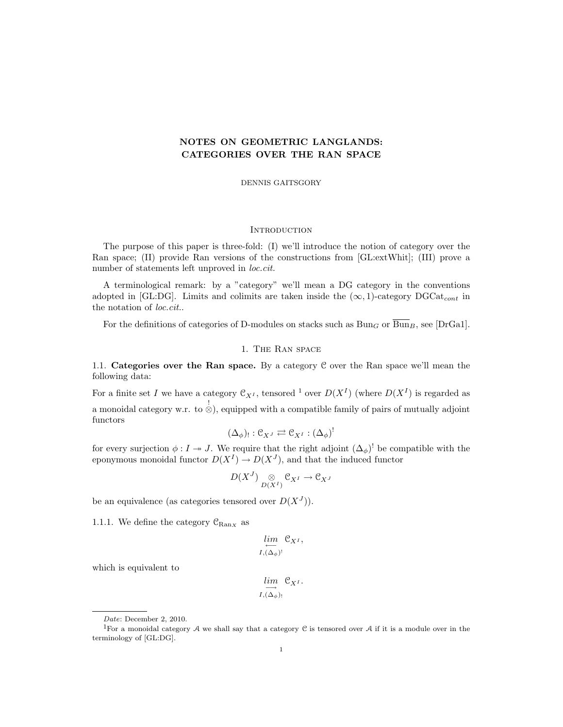# NOTES ON GEOMETRIC LANGLANDS: CATEGORIES OVER THE RAN SPACE

DENNIS GAITSGORY

#### **INTRODUCTION**

The purpose of this paper is three-fold: (I) we'll introduce the notion of category over the Ran space; (II) provide Ran versions of the constructions from [GL:extWhit]; (III) prove a number of statements left unproved in *loc.cit.* 

A terminological remark: by a "category" we'll mean a DG category in the conventions adopted in [GL:DG]. Limits and colimits are taken inside the  $(\infty, 1)$ -category DGCat<sub>cont</sub> in the notation of loc.cit..

For the definitions of categories of D-modules on stacks such as  $Bun_G$  or  $\overline{Bun}_B$ , see [DrGa1].

### 1. The Ran space

1.1. Categories over the Ran space. By a category C over the Ran space we'll mean the following data:

For a finite set I we have a category  $\mathfrak{C}_{X^I}$ , tensored <sup>1</sup> over  $D(X^I)$  (where  $D(X^I)$  is regarded as a monoidal category w.r. to  $\stackrel{!}{\otimes}$ ), equipped with a compatible family of pairs of mutually adjoint functors

$$
(\Delta_{\phi})_!: \mathfrak{C}_{X^J} \rightleftarrows \mathfrak{C}_{X^I} : (\Delta_{\phi})^!
$$

for every surjection  $\phi: I \to J$ . We require that the right adjoint  $(\Delta_{\phi})^!$  be compatible with the eponymous monoidal functor  $D(X^I) \to D(X^J)$ , and that the induced functor

$$
D(X^J) \underset{D(X^I)}{\otimes} \mathfrak{C}_{X^I} \to \mathfrak{C}_{X^J}
$$

be an equivalence (as categories tensored over  $D(X^J)$ ).

1.1.1. We define the category  $\mathcal{C}_{\text{Ran}_X}$  as

$$
\lim_{I, (\Delta_{\phi})^!} \mathfrak{C}_{X^I},
$$

which is equivalent to

$$
\varinjlim_{I, (\Delta_{\phi})_!} \mathfrak{C}_{X^I}.
$$

Date: December 2, 2010.

<sup>&</sup>lt;sup>1</sup>For a monoidal category  $A$  we shall say that a category  $C$  is tensored over  $A$  if it is a module over in the terminology of [GL:DG].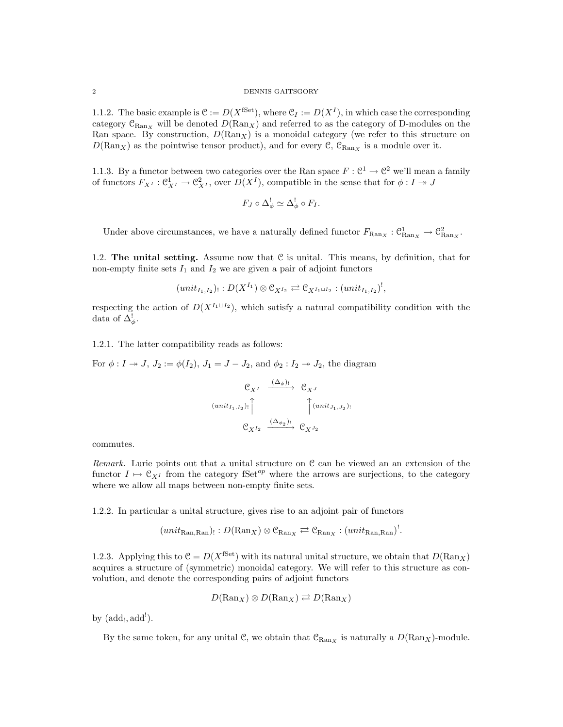#### 2 DENNIS GAITSGORY

1.1.2. The basic example is  $\mathcal{C} := D(X^{\text{fSet}})$ , where  $\mathcal{C}_I := D(X^I)$ , in which case the corresponding category  $\mathcal{C}_{\text{Ran}_X}$  will be denoted  $D(\text{Ran}_X)$  and referred to as the category of D-modules on the Ran space. By construction,  $D(\text{Ran}_X)$  is a monoidal category (we refer to this structure on  $D(\text{Ran}_X)$  as the pointwise tensor product), and for every  $\mathcal{C}$ ,  $\mathcal{C}_{\text{Ran}_X}$  is a module over it.

1.1.3. By a functor between two categories over the Ran space  $F: \mathbb{C}^1 \to \mathbb{C}^2$  we'll mean a family of functors  $F_{X^I}: \mathcal{C}^1_{X^I} \to \mathcal{C}^2_{X^I}$ , over  $D(X^I)$ , compatible in the sense that for  $\phi: I \to J$ 

$$
F_J \circ \Delta^!_{\phi} \simeq \Delta^!_{\phi} \circ F_I.
$$

Under above circumstances, we have a naturally defined functor  $F_{\text{Ran}_X}: \mathcal{C}_{\text{Ran}_X}^1 \to \mathcal{C}_{\text{Ran}_X}^2$ .

1.2. The unital setting. Assume now that  $C$  is unital. This means, by definition, that for non-empty finite sets  $I_1$  and  $I_2$  we are given a pair of adjoint functors

$$
(unit_{I_1,I_2})_! : D(X^{I_1}) \otimes \mathcal{C}_{X^{I_2}} \rightleftarrows \mathcal{C}_{X^{I_1 \sqcup I_2}} : (unit_{I_1,I_2})^!,
$$

respecting the action of  $D(X^{I_1 \sqcup I_2})$ , which satisfy a natural compatibility condition with the data of  $\Delta^!_{\phi}$ .

1.2.1. The latter compatibility reads as follows:

For  $\phi: I \twoheadrightarrow J$ ,  $J_2 := \phi(I_2)$ ,  $J_1 = J - J_2$ , and  $\phi_2: I_2 \twoheadrightarrow J_2$ , the diagram

$$
\begin{array}{ccc}\n & \mathbb{C}_{X^I} & \xrightarrow{(\Delta_{\phi})_!} & \mathbb{C}_{X^J} \\
\downarrow^{(unit_{I_1,I_2})_!} \uparrow & & \uparrow^{(unit_{J_1,J_2})_!} \\
 & \mathbb{C}_{X^{I_2}} & \xrightarrow{(\Delta_{\phi_2})_!} & \mathbb{C}_{X^{J_2}}\n\end{array}
$$

commutes.

Remark. Lurie points out that a unital structure on  $\mathcal C$  can be viewed an an extension of the functor  $I \mapsto \mathfrak{C}_{X^I}$  from the category fSet<sup>op</sup> where the arrows are surjections, to the category where we allow all maps between non-empty finite sets.

1.2.2. In particular a unital structure, gives rise to an adjoint pair of functors

$$
(\mathit{unit}_{\mathrm{Ran},\mathrm{Ran}}):D(\mathrm{Ran}_X)\otimes\mathfrak{C}_{\mathrm{Ran}_X}\rightleftarrows\mathfrak{C}_{\mathrm{Ran}_X}:(\mathit{unit}_{\mathrm{Ran},\mathrm{Ran}})^!
$$

1.2.3. Applying this to  $C = D(X^{\text{fSet}})$  with its natural unital structure, we obtain that  $D(\text{Ran}_X)$ acquires a structure of (symmetric) monoidal category. We will refer to this structure as convolution, and denote the corresponding pairs of adjoint functors

$$
D(\text{Ran}_X) \otimes D(\text{Ran}_X) \rightleftarrows D(\text{Ran}_X)
$$

by  $(\text{add}_!, \text{add}').$ 

By the same token, for any unital C, we obtain that  $\mathcal{C}_{\text{Ran}_X}$  is naturally a  $D(\text{Ran}_X)$ -module.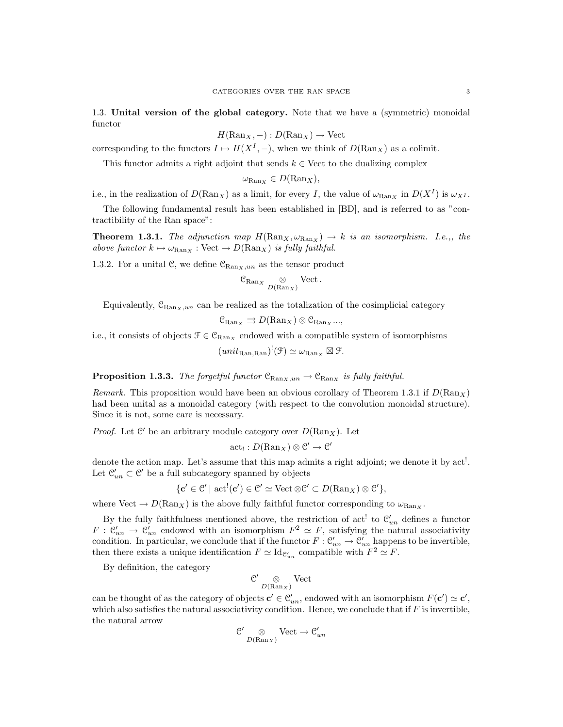1.3. Unital version of the global category. Note that we have a (symmetric) monoidal functor

$$
H(\text{Ran}_X, -): D(\text{Ran}_X) \to \text{Vect}
$$

corresponding to the functors  $I \mapsto H(X^I, -)$ , when we think of  $D(\text{Ran}_X)$  as a colimit.

This functor admits a right adjoint that sends  $k \in$  Vect to the dualizing complex

$$
\omega_{\mathrm{Ran}_X} \in D(\mathrm{Ran}_X),
$$

i.e., in the realization of  $D(\mathrm{Ran}_X)$  as a limit, for every I, the value of  $\omega_{\mathrm{Ran}_X}$  in  $D(X^I)$  is  $\omega_{X^I}$ .

The following fundamental result has been established in [BD], and is referred to as "contractibility of the Ran space":

**Theorem 1.3.1.** The adjunction map  $H(\text{Ran}_X, \omega_{\text{Ran}_X}) \rightarrow k$  is an isomorphism. I.e.,, the above functor  $k \mapsto \omega_{\text{Ran}_X}$  : Vect  $\to D(\text{Ran}_X)$  is fully faithful.

1.3.2. For a unital C, we define  $\mathcal{C}_{\text{Ran}_X,un}$  as the tensor product

$$
\mathfrak{C}_{\mathrm{Ran}_X} \underset{D(\mathrm{Ran}_X)}{\otimes} \mathrm{Vect}.
$$

Equivalently,  $C_{\text{Ran}x,un}$  can be realized as the totalization of the cosimplicial category

$$
\mathcal{C}_{\mathrm{Ran}_X} \rightrightarrows D(\mathrm{Ran}_X) \otimes \mathcal{C}_{\mathrm{Ran}_X} ...,
$$

i.e., it consists of objects  $\mathcal{F} \in \mathcal{C}_{\text{Ran}_X}$  endowed with a compatible system of isomorphisms

$$
(unit_{\text{Ran},\text{Ran}})^!(\mathcal{F}) \simeq \omega_{\text{Ran}_X} \boxtimes \mathcal{F}.
$$

**Proposition 1.3.3.** The forgetful functor  $\mathcal{C}_{\text{Ran}_X,un} \to \mathcal{C}_{\text{Ran}_X}$  is fully faithful.

Remark. This proposition would have been an obvious corollary of Theorem 1.3.1 if  $D(\text{Ran}_X)$ had been unital as a monoidal category (with respect to the convolution monoidal structure). Since it is not, some care is necessary.

*Proof.* Let  $\mathcal{C}'$  be an arbitrary module category over  $D(\text{Ran}_X)$ . Let

$$
\mathrm{act}_! : D(\mathrm{Ran}_X) \otimes \mathcal{C}' \to \mathcal{C}'
$$

denote the action map. Let's assume that this map admits a right adjoint; we denote it by act!. Let  $\mathcal{C}'_{un} \subset \mathcal{C}'$  be a full subcategory spanned by objects

$$
\{\mathbf c' \in \mathcal C' \mid \operatorname{act}^!(\mathbf c') \in \mathcal C' \simeq \operatorname{Vect} \otimes \mathcal C' \subset D(\operatorname{Ran}_X) \otimes \mathcal C'\},\
$$

where Vect  $\rightarrow D(\text{Ran}_X)$  is the above fully faithful functor corresponding to  $\omega_{\text{Ran}_X}$ .

By the fully faithfulness mentioned above, the restriction of act<sup>!</sup> to  $\mathcal{C}'_{un}$  defines a functor  $F: \mathcal{C}'_{un} \to \mathcal{C}'_{un}$  endowed with an isomorphism  $F^2 \simeq F$ , satisfying the natural associativity condition. In particular, we conclude that if the functor  $F: \mathcal{C}'_{un} \to \mathcal{C}'_{un}$  happens to be invertible, then there exists a unique identification  $F \simeq \mathrm{Id}_{\mathcal{C}'_{un}}$  compatible with  $F^2 \simeq F$ .

By definition, the category

$$
\mathcal{C'}\underset{D(\mathrm{Ran}_X)}{\otimes}\mathrm{Vect}
$$

can be thought of as the category of objects  $\mathbf{c}' \in \mathcal{C}'_{un}$ , endowed with an isomorphism  $F(\mathbf{c}') \simeq \mathbf{c}'$ , which also satisfies the natural associativity condition. Hence, we conclude that if  $F$  is invertible, the natural arrow

$$
\mathcal{C}' \underset{D(\text{Ran}_X)}{\otimes} \text{Vect} \to \mathcal{C}'_{un}
$$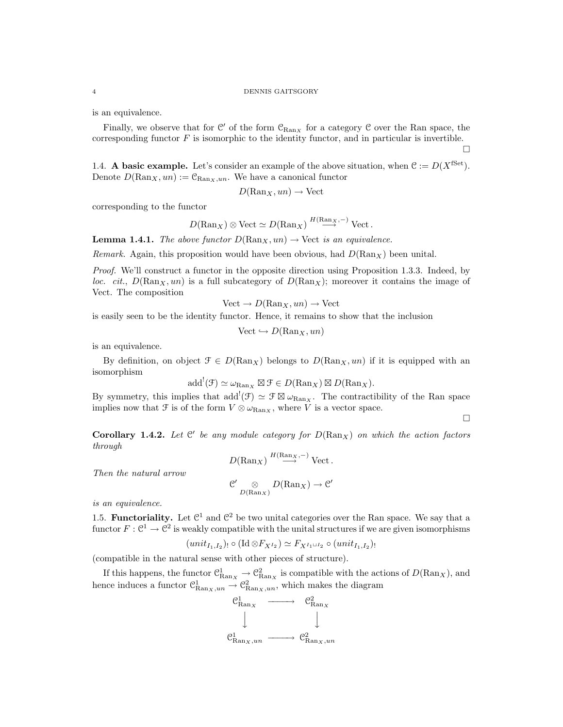is an equivalence.

Finally, we observe that for  $\mathcal{C}'$  of the form  $\mathcal{C}_{\text{Ran}_X}$  for a category  $\mathcal C$  over the Ran space, the corresponding functor  $F$  is isomorphic to the identity functor, and in particular is invertible.

1.4. A basic example. Let's consider an example of the above situation, when  $\mathcal{C} := D(X^{\text{fSet}})$ . Denote  $D(\text{Ran}_X, un) := \mathcal{C}_{\text{Ran}_X,un}$ . We have a canonical functor

$$
D(\mathrm{Ran}_X, un) \to \mathrm{Vect}
$$

corresponding to the functor

$$
D(\text{Ran}_X) \otimes \text{Vect} \simeq D(\text{Ran}_X) \stackrel{H(\text{Ran}_X,-)}{\longrightarrow} \text{Vect}.
$$

**Lemma 1.4.1.** The above functor  $D(\text{Ran}_X, un) \to \text{Vect}$  is an equivalence.

Remark. Again, this proposition would have been obvious, had  $D(\text{Ran}_X)$  been unital.

Proof. We'll construct a functor in the opposite direction using Proposition 1.3.3. Indeed, by loc. cit.,  $D(\text{Ran}_X, un)$  is a full subcategory of  $D(\text{Ran}_X)$ ; moreover it contains the image of Vect. The composition

$$
Vect \to D(Ran_X, un) \to Vect
$$

is easily seen to be the identity functor. Hence, it remains to show that the inclusion

 $Vect \hookrightarrow D(\mathrm{Ran}_X, un)$ 

is an equivalence.

By definition, on object  $\mathcal{F} \in D(\text{Ran}_X)$  belongs to  $D(\text{Ran}_X, un)$  if it is equipped with an isomorphism

$$
add^!(\mathfrak{F}) \simeq \omega_{\text{Ran}_X} \boxtimes \mathfrak{F} \in D(\text{Ran}_X) \boxtimes D(\text{Ran}_X).
$$

By symmetry, this implies that  $add^!(\mathfrak{F}) \simeq \mathfrak{F} \boxtimes \omega_{\text{Ran}_X}$ . The contractibility of the Ran space implies now that  $\mathcal F$  is of the form  $V \otimes \omega_{\text{Ran}_X}$ , where V is a vector space.

 $\Box$ 

 $\Box$ 

Corollary 1.4.2. Let  $\mathcal{C}'$  be any module category for  $D(\text{Ran}_X)$  on which the action factors through

$$
D(\text{Ran}_X) \stackrel{H(\text{Ran}_X, -)}{\longrightarrow} \text{Vect}.
$$

Then the natural arrow

$$
\mathcal{C}' \underset{D(\mathrm{Ran}_X)}{\otimes} D(\mathrm{Ran}_X) \to \mathcal{C}
$$

is an equivalence.

1.5. Functoriality. Let  $\mathbb{C}^1$  and  $\mathbb{C}^2$  be two unital categories over the Ran space. We say that a functor  $F: \mathbb{C}^1 \to \mathbb{C}^2$  is weakly compatible with the unital structures if we are given isomorphisms

$$
(unit_{I_1,I_2})_! \circ (\mathrm{Id} \otimes F_{X^{I_2}}) \simeq F_{X^{I_1 \sqcup I_2}} \circ (unit_{I_1,I_2})_!
$$

(compatible in the natural sense with other pieces of structure).

If this happens, the functor  $\mathcal{C}_{\text{Ran}_X}^1 \to \mathcal{C}_{\text{Ran}_X}^2$  is compatible with the actions of  $D(\text{Ran}_X)$ , and hence induces a functor  $\mathcal{C}_{\text{Ran}_X,un}^1 \to \mathcal{C}_{\text{Ran}_X,un}^2$ , which makes the diagram

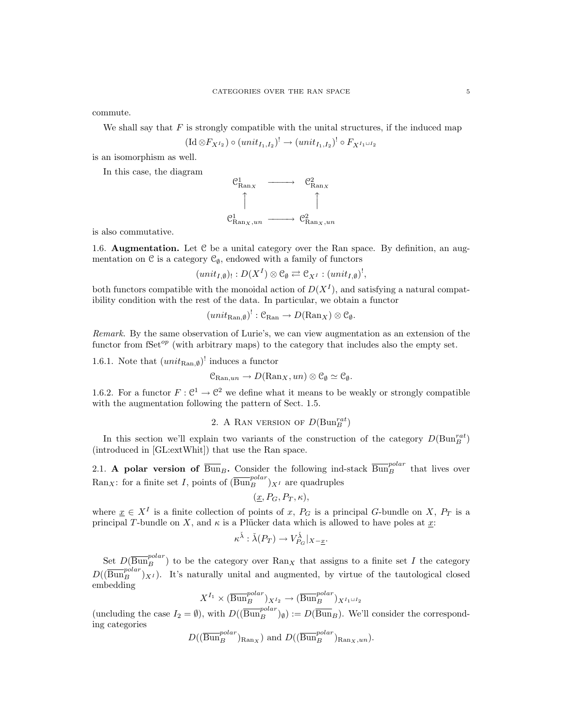commute.

We shall say that  $F$  is strongly compatible with the unital structures, if the induced map

$$
(\mathrm{Id} \otimes F_{X^{I_2}}) \circ (unit_{I_1,I_2})^! \to (unit_{I_1,I_2})^! \circ F_{X^{I_1 \sqcup I_2}}
$$

is an isomorphism as well.

In this case, the diagram



is also commutative.

1.6. **Augmentation.** Let  $C$  be a unital category over the Ran space. By definition, an augmentation on  $\mathcal C$  is a category  $\mathcal C_{\emptyset}$ , endowed with a family of functors

$$
(unit_{I,\emptyset})_!: D(X^I) \otimes \mathcal{C}_{\emptyset} \rightleftarrows \mathcal{C}_{X^I} : (unit_{I,\emptyset})^!,
$$

both functors compatible with the monoidal action of  $D(X^I)$ , and satisfying a natural compatibility condition with the rest of the data. In particular, we obtain a functor

$$
(unit_{\text{Ran},\emptyset})^!: \mathcal{C}_{\text{Ran}} \to D(\text{Ran}_X) \otimes \mathcal{C}_{\emptyset}.
$$

Remark. By the same observation of Lurie's, we can view augmentation as an extension of the functor from fSet<sup>op</sup> (with arbitrary maps) to the category that includes also the empty set.

1.6.1. Note that  $(unit_{\text{Ran},\emptyset})^!$  induces a functor

$$
\mathfrak{C}_{\mathrm{Ran},un} \to D(\mathrm{Ran}_X, un) \otimes \mathfrak{C}_\emptyset \simeq \mathfrak{C}_\emptyset.
$$

1.6.2. For a functor  $F: \mathbb{C}^1 \to \mathbb{C}^2$  we define what it means to be weakly or strongly compatible with the augmentation following the pattern of Sect. 1.5.

2. A RAN VERSION OF 
$$
D(\mathrm{Bun}_B^{rat})
$$

In this section we'll explain two variants of the construction of the category  $D(\text{Bun}_B^{rat})$ (introduced in [GL:extWhit]) that use the Ran space.

2.1. A polar version of  $\overline{\text{Bun}}_B$ . Consider the following ind-stack  $\overline{\text{Bun}}_B^{polar}$  that lives over Ran<sub>X</sub>: for a finite set I, points of  $(\overline{\text{Bun}}_B^{polar})_{X^I}$  are quadruples

$$
(\underline{x}, P_G, P_T, \kappa),
$$

where  $\underline{x} \in X^I$  is a finite collection of points of x,  $P_G$  is a principal G-bundle on X,  $P_T$  is a principal T-bundle on X, and  $\kappa$  is a Plücker data which is allowed to have poles at  $\underline{x}$ :

$$
\kappa^{\check{\lambda}}:\check{\lambda}(P_T)\to V_{P_G}^{\check{\lambda}}|_{X-\underline{x}}.
$$

Set  $D(\overline{Bun}_{B}^{polar})$  to be the category over  $\text{Ran}_X$  that assigns to a finite set I the category  $D((\overline{\text{Bun}}_B^{polar})_{X^I})$ . It's naturally unital and augmented, by virtue of the tautological closed embedding

$$
X^{I_1} \times (\overline{\mathrm{Bun}}_B^{polar})_{X^{I_2}} \to (\overline{\mathrm{Bun}}_B^{polar})_{X^{I_1 \sqcup I_2}}
$$

(uncluding the case  $I_2 = \emptyset$ ), with  $D((\overline{\text{Bun}}_B^{polar})_{\emptyset}) := D(\overline{\text{Bun}}_B)$ . We'll consider the corresponding categories

$$
D((\overline{\text{Bun}}_B^{polar})_{\text{Ran}_X})
$$
 and  $D((\overline{\text{Bun}}_B^{polar})_{\text{Ran}_X,un}).$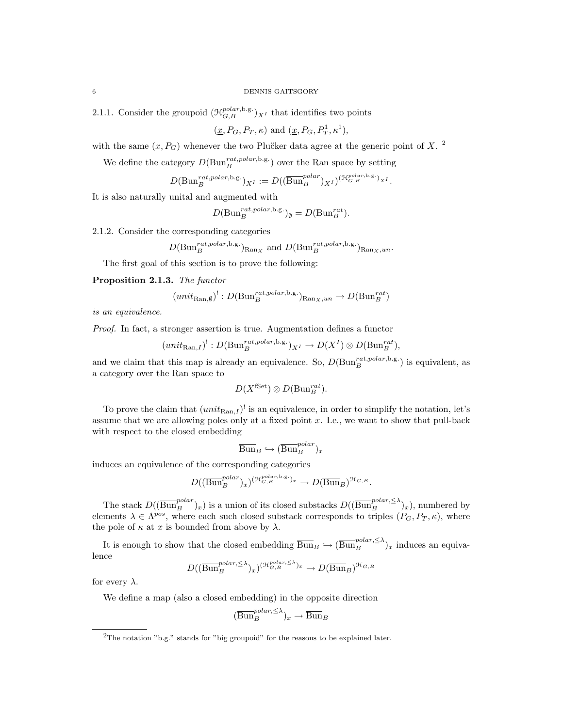2.1.1. Consider the groupoid  $(\mathcal{H}_{G,B}^{polar,b.g.})_{X^I}$  that identifies two points

 $(\underline{x}, P_G, P_T, \kappa)$  and  $(\underline{x}, P_G, P_T^1, \kappa^1)$ ,

with the same  $(\underline{x}, P_G)$  whenever the two Plucker data agree at the generic point of X.<sup>2</sup>

We define the category  $D(\text{Bun}_{B}^{rat, polar, b.g.})$  over the Ran space by setting

$$
D(\mathrm{Bun}_B^{rat, polar, b.g.})_{X^I} := D((\overline{\mathrm{Bun}}_B^{polar})_{X^I})^{(\mathcal{H}_{G,B}^{polar, b.g.})_{X^I}}.
$$

It is also naturally unital and augmented with

$$
D(\mathrm{Bun}_{B}^{rat, polar, b.g.})_{\emptyset} = D(\mathrm{Bun}_{B}^{rat}).
$$

2.1.2. Consider the corresponding categories

$$
D(\text{Bun}_{B}^{rat, polar, b.g.})_{\text{Ran}_X}
$$
 and  $D(\text{Bun}_{B}^{rat, polar, b.g.})_{\text{Ran}_X, un}$ .

The first goal of this section is to prove the following:

Proposition 2.1.3. The functor

$$
(unit_{\text{Ran},\emptyset})^!: D(\text{Bun}_B^{rat, polar, b.g.})_{\text{Ran}_X,un} \to D(\text{Bun}_B^{rat})
$$

is an equivalence.

Proof. In fact, a stronger assertion is true. Augmentation defines a functor

$$
(unit_{\text{Ran},I})^!: D(\text{Bun}_B^{rat, polar, b.g.})_{X^I} \to D(X^I) \otimes D(\text{Bun}_B^{rat}),
$$

and we claim that this map is already an equivalence. So,  $D(\text{Bun}_{B}^{rat,polar,b.g.})$  is equivalent, as a category over the Ran space to

$$
D(X^{\text{fSet}}) \otimes D(\text{Bun}_B^{rat}).
$$

To prove the claim that  $(unit_{\text{Ran},I})^!$  is an equivalence, in order to simplify the notation, let's assume that we are allowing poles only at a fixed point  $x$ . I.e., we want to show that pull-back with respect to the closed embedding

$$
\overline{\text{Bun}}_B \hookrightarrow (\overline{\text{Bun}}_B^{polar})_x
$$

induces an equivalence of the corresponding categories

$$
D((\overline{\operatorname{Bun}}_{B}^{polar})_{x})^{(\mathcal{H}_{G,B}^{polar,b,g.})_{x}} \to D(\overline{\operatorname{Bun}}_{B})^{\mathcal{H}_{G,B}}.
$$

The stack  $D((\overline{\text{Bun}}_B^{polar})_x)$  is a union of its closed substacks  $D((\overline{\text{Bun}}_B^{polar,\leq \lambda})_x)$ , numbered by elements  $\lambda \in \Lambda^{pos}$ , where each such closed substack corresponds to triples  $(P_G, P_T, \kappa)$ , where the pole of  $\kappa$  at x is bounded from above by  $\lambda$ .

It is enough to show that the closed embedding  $\overline{Bun}_B \hookrightarrow (\overline{Bun}_B^{polar,\leq \lambda})_x$  induces an equivalence

$$
D((\overline{\text{Bun}}^{polar,\leq \lambda}_B)_x)^{(\mathcal{H}_{G,B}^{polar,\leq \lambda})_x} \to D(\overline{\text{Bun}}_B)^{\mathcal{H}_{G,B}}
$$

for every  $\lambda$ .

We define a map (also a closed embedding) in the opposite direction

$$
(\overline{\mathrm{Bun}}_{B}^{polar,\leq \lambda})_{x} \to \overline{\mathrm{Bun}}_{B}
$$

<sup>&</sup>lt;sup>2</sup>The notation "b.g." stands for "big groupoid" for the reasons to be explained later.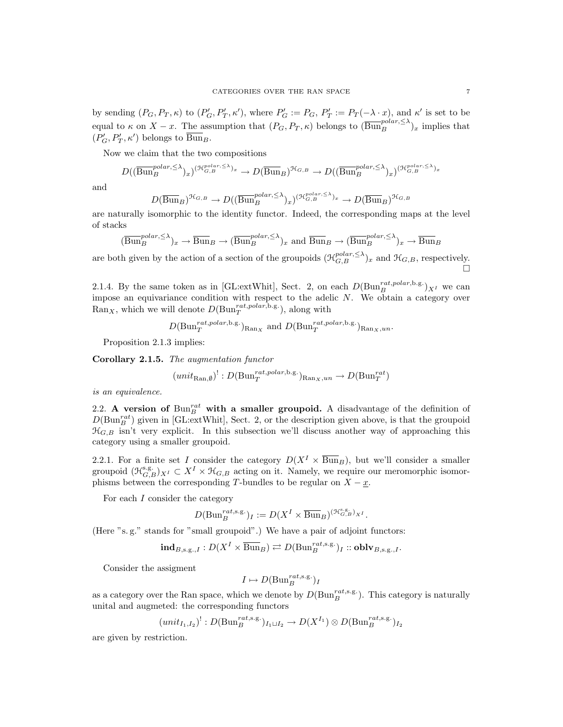by sending  $(P_G, P_T, \kappa)$  to  $(P'_G, P'_T, \kappa')$ , where  $P'_G := P_G$ ,  $P'_T := P_T(-\lambda \cdot x)$ , and  $\kappa'$  is set to be equal to  $\kappa$  on  $X - x$ . The assumption that  $(P_G, P_T, \kappa)$  belongs to  $(\overline{\text{Bun}}_B^{polar, \leq \lambda})_x$  implies that  $(P'_G, P'_T, \kappa')$  belongs to  $\overline{\text{Bun}}_B$ .

Now we claim that the two compositions

$$
D((\overline{\text{Bun}}_B^{polar,\leq \lambda})_x)^{(\mathcal{H}_{G,B}^{polar,\leq \lambda})_x} \to D(\overline{\text{Bun}}_B)^{\mathcal{H}_{G,B}} \to D((\overline{\text{Bun}}_B^{polar,\leq \lambda})_x)^{(\mathcal{H}_{G,B}^{polar,\leq \lambda})_x}
$$

and

$$
D(\overline{\text{Bun}}_B)^{\mathcal{H}_{G,B}} \to D((\overline{\text{Bun}}_B^{polar,\leq \lambda})_x)^{(\mathcal{H}_{G,B}^{polar,\leq \lambda})_x} \to D(\overline{\text{Bun}}_B)^{\mathcal{H}_{G,B}}
$$

are naturally isomorphic to the identity functor. Indeed, the corresponding maps at the level of stacks

$$
(\overline{\mathrm{Bun}}_B^{polar,\leq \lambda})_x \to \overline{\mathrm{Bun}}_B \to (\overline{\mathrm{Bun}}_B^{polar,\leq \lambda})_x \text{ and } \overline{\mathrm{Bun}}_B \to (\overline{\mathrm{Bun}}_B^{polar,\leq \lambda})_x \to \overline{\mathrm{Bun}}_B
$$

are both given by the action of a section of the groupoids  $(\mathcal{H}_{G,B}^{polar,\leq \lambda})_x$  and  $\mathcal{H}_{G,B}$ , respectively.

2.1.4. By the same token as in [GL:extWhit], Sect. 2, on each  $D(\text{Bun}_B^{rat, polar, b.g.})_{X^I}$  we can impose an equivariance condition with respect to the adelic  $N$ . We obtain a category over  $\text{Ran}_X$ , which we will denote  $D(\text{Bun}_T^{rat, polar, b.g.})$ , along with

$$
D(\text{Bun}_T^{rat, polar, b.g.})_{\text{Ran}_X}
$$
 and  $D(\text{Bun}_T^{rat, polar, b.g.})_{\text{Ran}_X, un}$ .

Proposition 2.1.3 implies:

Corollary 2.1.5. The augmentation functor

$$
(unit_{\text{Ran},\emptyset})^!: D(\text{Bun}_T^{rat, polar, b.g.})_{\text{Ran}_X,un} \to D(\text{Bun}_T^{rat})
$$

is an equivalence.

2.2. A version of  $Bun_B^{rat}$  with a smaller groupoid. A disadvantage of the definition of  $D(\text{Bun}_{B}^{rat})$  given in [GL:extWhit], Sect. 2, or the description given above, is that the groupoid  $\mathfrak{H}_{G,B}$  isn't very explicit. In this subsection we'll discuss another way of approaching this category using a smaller groupoid.

2.2.1. For a finite set I consider the category  $D(X^I \times \overline{Bun}_B)$ , but we'll consider a smaller groupoid  $(\mathfrak{H}_{G,B}^{s,g})_{X^I} \subset X^I \times \mathfrak{H}_{G,B}$  acting on it. Namely, we require our meromorphic isomorphisms between the corresponding T-bundles to be regular on  $X - \underline{x}$ .

For each  $I$  consider the category

$$
D(\mathrm{Bun}_B^{rat,\mathrm{s.g.}})_I := D(X^I \times \overline{\mathrm{Bun}}_B)^{(\mathcal{H}_{G,B}^{\mathrm{s.g.}})_{X^I}}.
$$

(Here "s. g." stands for "small groupoid".) We have a pair of adjoint functors:

$$
\textbf{ind}_{B,s,g,J}:D(X^I\times \overline{\operatorname{Bun}}_B)\rightleftarrows D(\operatorname{Bun}_B^{rat,s,g.})_I::\textbf{oblv}_{B,s,g,J}.
$$

Consider the assigment

$$
I \mapsto D(\mathrm{Bun}_B^{rat, \mathrm{s.g.}})_I
$$

as a category over the Ran space, which we denote by  $D(\text{Bun}_B^{rat,s.g.})$ . This category is naturally unital and augmeted: the corresponding functors

$$
(unit_{I_1,I_2})^!:D(\mathrm{Bun}_B^{rat,s.g.})_{I_1\sqcup I_2}\to D(X^{I_1})\otimes D(\mathrm{Bun}_B^{rat,s.g.})_{I_2}
$$

are given by restriction.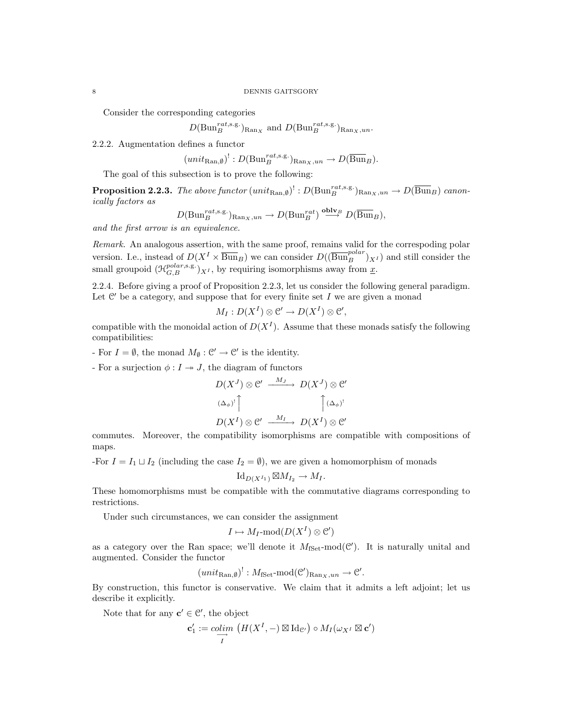Consider the corresponding categories

$$
D(\text{Bun}_B^{rat,s.g.})_{\text{Ran}_X}
$$
 and  $D(\text{Bun}_B^{rat,s.g.})_{\text{Ran}_X,un}.$ 

2.2.2. Augmentation defines a functor

$$
(unit_{\text{Ran},\emptyset})^!: D(\text{Bun}_B^{rat,s.g.})_{\text{Ran}_X,un} \to D(\overline{\text{Bun}}_B).
$$

The goal of this subsection is to prove the following:

**Proposition 2.2.3.** The above functor  $(unit_{\text{Ran},\emptyset})$ <sup>!</sup> :  $D(\text{Bun}_{B}^{rat,s.g.})_{\text{Ran}_X,un} \to D(\overline{\text{Bun}}_B)$  canonically factors as

$$
D(\mathrm{Bun}_{B}^{rat,\mathrm{s.g.}})_{\mathrm{Ran}_{X},un} \to D(\mathrm{Bun}_{B}^{rat}) \stackrel{\mathrm{oblv}_{B}}{\longrightarrow} D(\overline{\mathrm{Bun}}_{B}),
$$

and the first arrow is an equivalence.

Remark. An analogous assertion, with the same proof, remains valid for the correspoding polar version. I.e., instead of  $D(X^I \times \overline{Bun}_B)$  we can consider  $D((\overline{Bun}_B^{polar})_{X^I})$  and still consider the small groupoid  $(\mathcal{H}_{G,B}^{polar,s.g.})_{X^I}$ , by requiring isomorphisms away from  $\underline{x}$ .

2.2.4. Before giving a proof of Proposition 2.2.3, let us consider the following general paradigm. Let  $\mathcal{C}'$  be a category, and suppose that for every finite set  $I$  we are given a monad

$$
M_I: D(X^I) \otimes \mathcal{C}' \to D(X^I) \otimes \mathcal{C}',
$$

compatible with the monoidal action of  $D(X^I)$ . Assume that these monads satisfy the following compatibilities:

For  $I = \emptyset$ , the monad  $M_{\emptyset} : \mathcal{C}' \to \mathcal{C}'$  is the identity.

- For a surjection  $\phi: I \rightarrow J$ , the diagram of functors

$$
D(X^J) \otimes \mathcal{C}' \xrightarrow{M_J} D(X^J) \otimes \mathcal{C}'
$$

$$
\stackrel{(\Delta_{\phi})^!}{\longrightarrow} \uparrow \qquad \qquad \uparrow (\Delta_{\phi})^!
$$

$$
D(X^I) \otimes \mathcal{C}' \xrightarrow{M_I} D(X^I) \otimes \mathcal{C}'
$$

commutes. Moreover, the compatibility isomorphisms are compatible with compositions of maps.

-For  $I = I_1 \sqcup I_2$  (including the case  $I_2 = \emptyset$ ), we are given a homomorphism of monads

$$
\mathrm{Id}_{D(X^{I_1})} \boxtimes M_{I_2} \to M_I.
$$

These homomorphisms must be compatible with the commutative diagrams corresponding to restrictions.

Under such circumstances, we can consider the assignment

$$
I \mapsto M_I\text{-mod}(D(X^I) \otimes \mathcal{C}')
$$

as a category over the Ran space; we'll denote it  $M_{\text{fSet}}$ -mod $(\mathcal{C}')$ . It is naturally unital and augmented. Consider the functor

$$
(unit_{\text{Ran},\emptyset})^!: M_{\text{fSet}} \text{-mod}(\mathcal{C}')_{\text{Ran}_X,un} \to \mathcal{C}'.
$$

By construction, this functor is conservative. We claim that it admits a left adjoint; let us describe it explicitly.

Note that for any  $c' \in \mathcal{C}'$ , the object

$$
\mathbf{c}'_1 := \underset{I}{\text{colim}} \left( H(X^I, -) \boxtimes \text{Id}_{\mathcal{C}'} \right) \circ M_I(\omega_{X^I} \boxtimes \mathbf{c}')
$$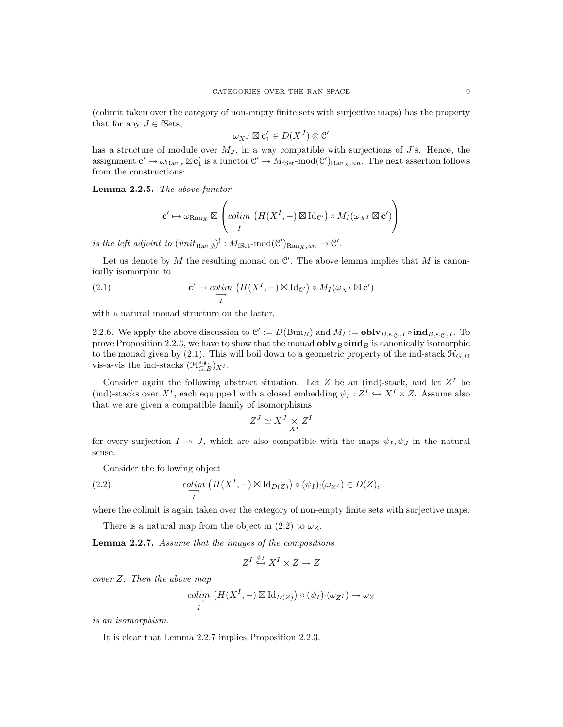(colimit taken over the category of non-empty finite sets with surjective maps) has the property that for any  $J \in \text{fSets}$ ,

$$
\omega_{X^J} \boxtimes \mathbf{c}'_1 \in D(X^J) \otimes \mathcal{C}'
$$

has a structure of module over  $M_J$ , in a way compatible with surjections of J's. Hence, the assignment  $c' \mapsto \omega_{\text{Ran}_X} \boxtimes c'_1$  is a functor  $\mathcal{C}' \to M_{\text{fSet}}$ -mod $(\mathcal{C}')_{\text{Ran}_X,un}$ . The next assertion follows from the constructions:

Lemma 2.2.5. The above functor

$$
\mathbf{c}' \mapsto \omega_{\mathrm{Ran}_X} \boxtimes \left( \underset{I}{\text{colim}} \left( H(X^I,-) \boxtimes \mathrm{Id}_{\mathcal{C}'} \right) \circ M_I(\omega_{X^I} \boxtimes \mathbf{c}') \right)
$$

is the left adjoint to  $(unit_{\text{Ran},\emptyset})^!: M_{\text{fSet}} \text{-mod}(\mathcal{C}')_{\text{Ran}_X,un} \to \mathcal{C}'.$ 

Let us denote by M the resulting monad on  $\mathcal{C}'$ . The above lemma implies that M is canonically isomorphic to

(2.1) 
$$
\mathbf{c}' \mapsto \underset{I}{\text{colim}} \left( H(X^I, -) \boxtimes \text{Id}_{\mathcal{C}'} \right) \circ M_I(\omega_{X^I} \boxtimes \mathbf{c}')
$$

with a natural monad structure on the latter.

2.2.6. We apply the above discussion to  $\mathcal{C}':=D(\overline{Bun}_B)$  and  $M_I:=\textbf{oblv}_{B,s,g,J} \circ \textbf{ind}_{B,s,g,J}$ . To prove Proposition 2.2.3, we have to show that the monad **obly**  $\phi$  ind<sub>B</sub> is canonically isomorphic to the monad given by (2.1). This will boil down to a geometric property of the ind-stack  $\mathcal{H}_{G,B}$ vis-a-vis the ind-stacks  $(\mathcal{H}_{G,B}^{\mathbf{s},\mathbf{g}})_{X^I}$ .

Consider again the following abstract situation. Let Z be an (ind)-stack, and let  $Z<sup>I</sup>$  be (ind)-stacks over  $X^I$ , each equipped with a closed embedding  $\psi_I : Z^I \hookrightarrow X^I \times Z$ . Assume also that we are given a compatible family of isomorphisms

$$
Z^J \simeq X^J \underset{X^I}{\times} Z^I
$$

for every surjection  $I \twoheadrightarrow J$ , which are also compatible with the maps  $\psi_I, \psi_I$  in the natural sense.

Consider the following object

(2.2) 
$$
\underset{I}{\text{colim}} \left( H(X^I, -) \boxtimes \text{Id}_{D(Z)} \right) \circ (\psi_I)_! (\omega_{Z^I}) \in D(Z),
$$

where the colimit is again taken over the category of non-empty finite sets with surjective maps.

There is a natural map from the object in (2.2) to  $\omega_Z$ .

Lemma 2.2.7. Assume that the images of the compositions

$$
Z^I \stackrel{\psi_I}{\hookrightarrow} X^I \times Z \to Z
$$

cover Z. Then the above map

$$
\underset{I}{\text{colim}} \left( H(X^I, -) \boxtimes \text{Id}_{D(Z)} \right) \circ (\psi_I)_! (\omega_{Z^I}) \to \omega_Z
$$

is an isomorphism.

It is clear that Lemma 2.2.7 implies Proposition 2.2.3.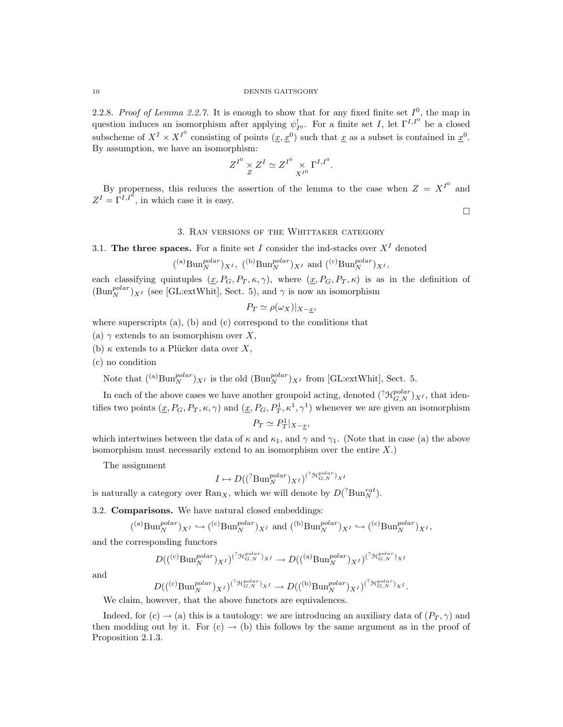2.2.8. Proof of Lemma 2.2.7. It is enough to show that for any fixed finite set  $I^0$ , the map in question induces an isomorphism after applying  $\psi^!_{I^0}$ . For a finite set I, let  $\Gamma^{I,I^0}$  be a closed subscheme of  $X^I \times X^{I^0}$  consisting of points  $(\underline{x}, \underline{x}^0)$  such that  $\underline{x}$  as a subset is contained in  $\underline{x}^0$ . By assumption, we have an isomorphism:

$$
Z^{I^0} \underset{Z}{\times} Z^I \simeq Z^{I^0} \underset{X^{I^0}}{\times} \Gamma^{I,I^0}.
$$

By properness, this reduces the assertion of the lemma to the case when  $Z = X^{I^0}$  and  $Z^I = \Gamma^{I,I^0}$ , in which case it is easy.

 $\Box$ 

## 3. Ran versions of the Whittaker category

3.1. The three spaces. For a finite set I consider the ind-stacks over  $X<sup>I</sup>$  denoted

$$
({}^{(a)}\text{Bun}_{N}^{polar})_{X^{I}},~({}^{(b)}\text{Bun}_{N}^{polar})_{X^{I}}~\text{and}~({}^{(c)}\text{Bun}_{N}^{polar})_{X^{I}},
$$

each classifying quintuples  $(x, P_G, P_T, \kappa, \gamma)$ , where  $(x, P_G, P_T, \kappa)$  is as in the definition of  $(\text{Bun}_{N}^{polar})_{X^{I}}$  (see [GL:extWhit], Sect. 5), and  $\gamma$  is now an isomorphism

$$
P_T \simeq \rho(\omega_X)|_{X-\underline{x}},
$$

where superscripts  $(a)$ ,  $(b)$  and  $(c)$  correspond to the conditions that

- (a)  $\gamma$  extends to an isomorphism over X,
- (b)  $\kappa$  extends to a Plücker data over X,
- (c) no condition

Note that  $({}^{(a)}\text{Bun}_N^{polar})_{X^I}$  is the old  $(\text{Bun}_N^{polar})_{X^I}$  from [GL:extWhit], Sect. 5.

In each of the above cases we have another groupoid acting, denoted  $({}^?{\mathcal H}_{G,N}^{polar})_{X^I}$ , that identifies two points  $(\underline{x}, P_G, P_T, \kappa, \gamma)$  and  $(\underline{x}, P_G, P_T^1, \kappa^1, \gamma^1)$  whenever we are given an isomorphism

$$
P_T \simeq P_T^1|_{X-\underline{x}},
$$

which intertwines between the data of  $\kappa$  and  $\kappa_1$ , and  $\gamma$  and  $\gamma_1$ . (Note that in case (a) the above isomorphism must necessarily extend to an isomorphism over the entire  $X$ .)

The assignment

$$
I \mapsto D( ({}^{?}\text{Bun}_{N}^{polar})_{X^{I}})^{({}^{?}\mathcal{H}_{G,N}^{polar})_{X^{I}}}
$$

is naturally a category over  $\text{Ran}_X$ , which we will denote by  $D({}^? \text{Bun}_N^{rat})$ .

3.2. Comparisons. We have natural closed embeddings:

$$
({}^{(a)}\text{Bun}_{N}^{polar})_{X^{I}} \hookrightarrow ({}^{(c)}\text{Bun}_{N}^{polar})_{X^{I}} \text{ and } ({}^{(b)}\text{Bun}_{N}^{polar})_{X^{I}} \hookrightarrow ({}^{(c)}\text{Bun}_{N}^{polar})_{X^{I}},
$$

and the corresponding functors

$$
D(((^{\text{c}}\text{Bun}_{N}^{polar})_{X^{I}})^{({}^{2}\mathcal{H}_{G,N}^{polar})_{X^{I}}}\rightarrow D(((^{\text{a}}\text{Bun}_{N}^{polar})_{X^{I}})^{({}^{2}\mathcal{H}_{G,N}^{polar})_{X^{I}}}
$$

and

$$
D(((^{\text{c})}\text{Bun}_{N}^{polar})_{X^{I}})^{({}^{2}\mathcal{H}_{G,N}^{polar})_{X^{I}}} \to D(((^{\text{b})}\text{Bun}_{N}^{polar})_{X^{I}})^{({}^{2}\mathcal{H}_{G,N}^{polar})_{X^{I}}}.
$$

We claim, however, that the above functors are equivalences.

Indeed, for (c)  $\rightarrow$  (a) this is a tautology: we are introducing an auxiliary data of  $(P_T, \gamma)$  and then modding out by it. For  $(c) \rightarrow (b)$  this follows by the same argument as in the proof of Proposition 2.1.3.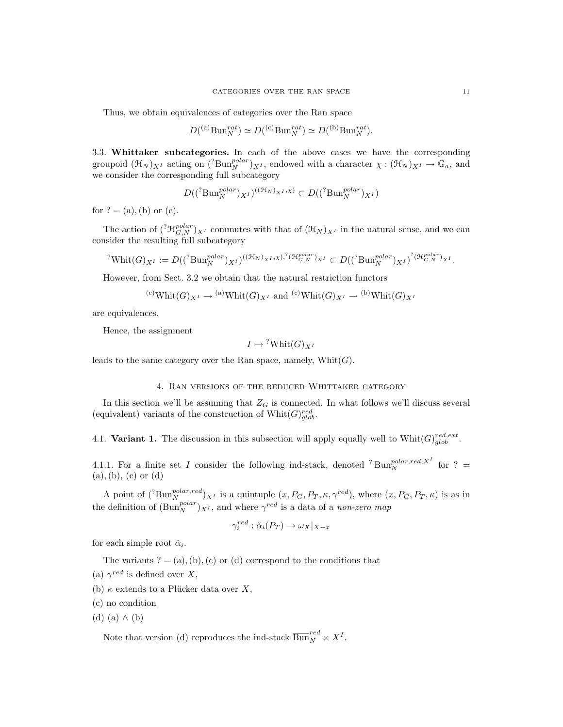Thus, we obtain equivalences of categories over the Ran space

$$
D({}^{(a)}\mathrm{Bun}_N^{rat}) \simeq D({}^{(c)}\mathrm{Bun}_N^{rat}) \simeq D({}^{(b)}\mathrm{Bun}_N^{rat}).
$$

3.3. Whittaker subcategories. In each of the above cases we have the corresponding groupoid  $(\mathfrak{H}_N)_{X^I}$  acting on  $({}^? \text{Bun}_N^{polar})_{X^I}$ , endowed with a character  $\chi : (\mathfrak{H}_N)_{X^I} \to \mathbb{G}_a$ , and we consider the corresponding full subcategory

$$
D((^? \text{Bun}_N^{polar})_{X^I})^{((\mathcal{H}_N)_{X^I}, \chi)} \subset D((^? \text{Bun}_N^{polar})_{X^I})
$$

for  $? = (a)$ , (b) or (c).

The action of  $({}^?{\mathcal H}_{G,N}^{polar})_{X^I}$  commutes with that of  $({\mathcal H}_N)_{X^I}$  in the natural sense, and we can consider the resulting full subcategory

$$
{}^{?}\text{Whit}(G)_{X^I} := D(({}^{?}\text{Bun}_{N}^{polar})_{X^I})^{((\mathcal{H}_N)_{X^I}, \chi), {}^{?}(\mathcal{H}_{G,N}^{polar})_{X^I}} \subset D(({}^{?}\text{Bun}_{N}^{polar})_{X^I})^{?(\mathcal{H}_{G,N}^{polar})_{X^I}}.
$$

However, from Sect. 3.2 we obtain that the natural restriction functors

$$
^{(c)}\text{Whit}(G)_{X^I} \rightarrow ^{(a)}\text{Whit}(G)_{X^I}
$$
 and  $^{(c)}\text{Whit}(G)_{X^I} \rightarrow ^{(b)}\text{Whit}(G)_{X^I}$ 

are equivalences.

Hence, the assignment

$$
I \mapsto {}^{?}\mathrm{Whit}(G)_{X^I}
$$

leads to the same category over the Ran space, namely,  $Whit(G)$ .

### 4. Ran versions of the reduced Whittaker category

In this section we'll be assuming that  $Z_G$  is connected. In what follows we'll discuss several (equivalent) variants of the construction of  $\text{Whit}(G)_{glob}^{red}$ .

4.1. Variant 1. The discussion in this subsection will apply equally well to  $Whit(G)_{glob}^{red, ext}$ .

4.1.1. For a finite set I consider the following ind-stack, denoted <sup>?</sup> Bun<sup>polar,red,X<sup>I</sup> for ? =</sup>  $(a), (b), (c)$  or  $(d)$ 

A point of  $({}^{?}\text{Bun}_{N}^{polar,red})_{X^{I}}$  is a quintuple  $(\underline{x}, P_{G}, P_{T}, \kappa, \gamma^{red})$ , where  $(\underline{x}, P_{G}, P_{T}, \kappa)$  is as in the definition of  $(\text{Bun}_{N}^{polar})_{X^{I}}$ , and where  $\gamma^{red}$  is a data of a non-zero map

$$
\gamma_i^{red} : \check{\alpha}_i(P_T) \to \omega_X|_{X-\underline{x}}
$$

for each simple root  $\check{\alpha}_i$ .

The variants  $? = (a), (b), (c)$  or  $(d)$  correspond to the conditions that

- (a)  $\gamma^{red}$  is defined over X,
- (b)  $\kappa$  extends to a Plücker data over X,
- (c) no condition
- (d)  $(a) \wedge (b)$

Note that version (d) reproduces the ind-stack  $\overline{\mathrm{Bun}}_N^{red} \times X^I$ .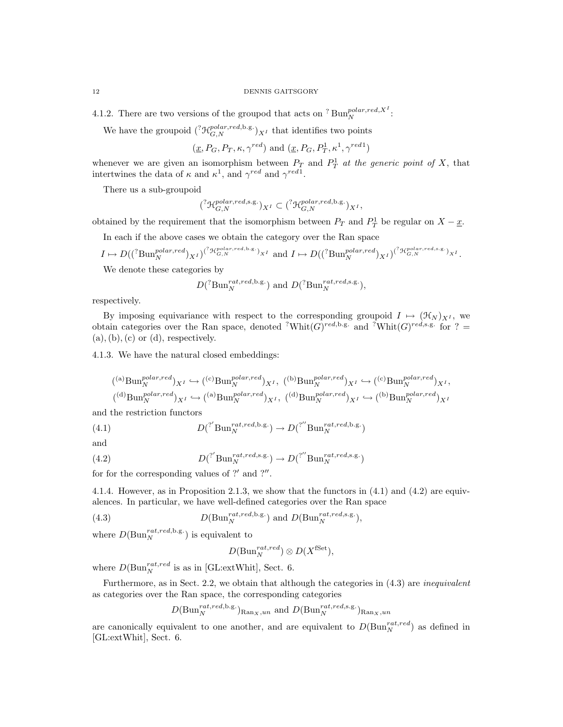4.1.2. There are two versions of the groupod that acts on <sup>?</sup> Bun<sup>polar,red,X<sup>1</sup>:</sup>

We have the groupoid  $({}^?{\mathcal{H}_{G,N}^{polar, red, b.g.}})_{X^I}$  that identifies two points

$$
(\underline{x}, P_G, P_T, \kappa, \gamma^{red})
$$
 and  $(\underline{x}, P_G, P_T^1, \kappa^1, \gamma^{red1})$ 

whenever we are given an isomorphism between  $P_T$  and  $P_T^1$  at the generic point of X, that intertwines the data of  $\kappa$  and  $\kappa^1$ , and  $\gamma^{red}$  and  $\gamma^{red}$ .

There us a sub-groupoid

$$
({}^?{\mathcal H}_{G,N}^{polar,red,\text{s.g.}})_{X^I} \subset ({}^?{\mathcal H}_{G,N}^{polar,red,\text{b.g.}})_{X^I},
$$

obtained by the requirement that the isomorphism between  $P_T$  and  $P_T^1$  be regular on  $X - \underline{x}$ .

In each if the above cases we obtain the category over the Ran space

$$
I \mapsto D((^{?}\text{Bun}_{N}^{polar, red})_{X^{I}})^{(^{?}\text{H}_{G,N}^{polar, red, b.g.})_{X^{I}}} \text{ and } I \mapsto D((^{?}\text{Bun}_{N}^{polar, red})_{X^{I}})^{(^{?}\text{H}_{G,N}^{polar, red,s.g.})_{X^{I}}}.
$$

We denote these categories by

$$
D(^{?}\text{Bun}_{N}^{rat,red,\text{b.g.}})
$$
 and  $D(^{?}\text{Bun}_{N}^{rat,red,\text{s.g.}})$ ,

respectively.

By imposing equivariance with respect to the corresponding groupoid  $I \mapsto (\mathcal{H}_N)_{X^I}$ , we obtain categories over the Ran space, denoted <sup>?</sup>Whit $(G)^{red,b,g.}$  and <sup>?</sup>Whit $(G)^{red,s,g.}$  for ? =  $(a), (b), (c)$  or  $(d)$ , respectively.

4.1.3. We have the natural closed embeddings:

$$
\begin{aligned} &(^{(a)}\mathrm{Bun}_{N}^{polar,red})_{X^{I}} \hookrightarrow (^{(c)}\mathrm{Bun}_{N}^{polar,red})_{X^{I}},~(^{(b)}\mathrm{Bun}_{N}^{polar,red})_{X^{I}} \hookrightarrow (^{(c)}\mathrm{Bun}_{N}^{polar,red})_{X^{I}}, \\ &(^{(d)}\mathrm{Bun}_{N}^{polar,red})_{X^{I}} \hookrightarrow (^{(a)}\mathrm{Bun}_{N}^{polar,red})_{X^{I}},~(^{(d)}\mathrm{Bun}_{N}^{polar,red})_{X^{I}} \hookrightarrow (^{(b)}\mathrm{Bun}_{N}^{polar,red})_{X^{I}} \end{aligned}
$$

and the restriction functors

(4.1) 
$$
D({}^{?}\text{Bun}_{N}^{rat, red, b.g.}) \to D({}^{?'}\text{Bun}_{N}^{rat, red, b.g.})
$$

and

(4.2) 
$$
D({\text{Var}}_N^{rat, red, s.g.}) \to D({\text{Var}}_N^{rat, red, s.g.})
$$

for for the corresponding values of  $?'$  and  $?''$ .

4.1.4. However, as in Proposition 2.1.3, we show that the functors in (4.1) and (4.2) are equivalences. In particular, we have well-defined categories over the Ran space

(4.3) 
$$
D(\text{Bun}_{N}^{rat, red, b.g.}) \text{ and } D(\text{Bun}_{N}^{rat, red, s.g.}),
$$

where  $D(\text{Bun}_N^{rat, red, b.g.})$  is equivalent to

$$
D(\mathrm{Bun}_N^{rat,red}) \otimes D(X^{\mathrm{fSet}}),
$$

where  $D(\text{Bun}_N^{rat,red} \text{ is as in [GL:extWhit], Sect. 6.}$ 

Furthermore, as in Sect. 2.2, we obtain that although the categories in  $(4.3)$  are *inequivalent* as categories over the Ran space, the corresponding categories

$$
D(\text{Bun}_{N}^{rat, red, b.g.})_{\text{Ran}_X, un}
$$
 and  $D(\text{Bun}_{N}^{rat, red, s.g.})_{\text{Ran}_X, un}$ 

are canonically equivalent to one another, and are equivalent to  $D(\text{Bun}_{N}^{rat,red})$  as defined in [GL:extWhit], Sect. 6.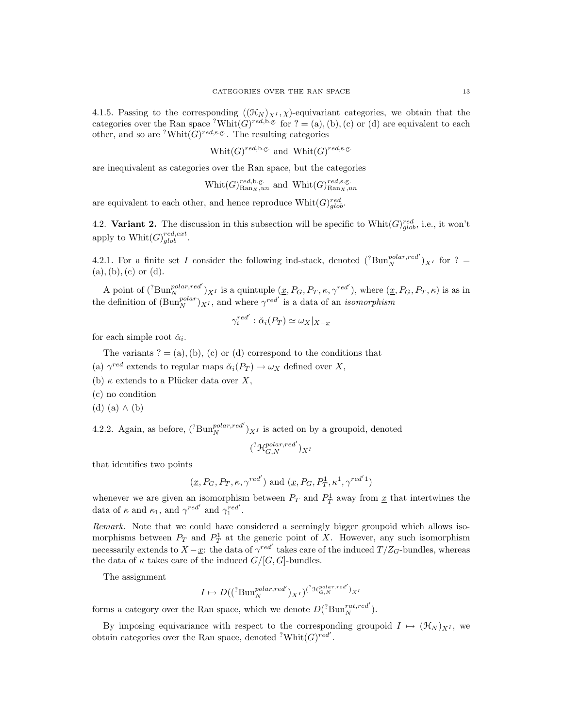4.1.5. Passing to the corresponding  $((\mathcal{H}_N)_{X^I}, \chi)$ -equivariant categories, we obtain that the categories over the Ran space <sup>?</sup>Whit $(G)^{red,b,g.}$  for ? = (a), (b), (c) or (d) are equivalent to each other, and so are <sup>?</sup>Whit $(G)^{red,s.g.}$ . The resulting categories

Whit $(G)^{red, b.g.}$  and Whit $(G)^{red, s.g.}$ 

are inequivalent as categories over the Ran space, but the categories

$$
\text{Whit}(G)_{\text{Ran}_X,un}^{red,\text{b.g.}} \text{ and } \text{Whit}(G)_{\text{Ran}_X,un}^{red,\text{s.g.}}
$$

are equivalent to each other, and hence reproduce  $\text{Whit}(G)_{glob}^{red}$ .

4.2. Variant 2. The discussion in this subsection will be specific to  $\text{Whit}(G)_{glob}^{red}$ , i.e., it won't apply to  $\text{Whit}(G)_{glob}^{red, ext}.$ 

4.2.1. For a finite set I consider the following ind-stack, denoted  $({}^{?}\text{Bun}_{N}^{polar, red'})_{X}$  for ? =  $(a), (b), (c)$  or  $(d)$ .

A point of  $({}^{?}\text{Bun}_{N}^{polar, red'} )_{X^{I}}$  is a quintuple  $(\underline{x}, P_{G}, P_{T}, \kappa, \gamma^{red'})$ , where  $(\underline{x}, P_{G}, P_{T}, \kappa)$  is as in the definition of  $(\text{Bun}_{N}^{polar})_{X^{I}}$ , and where  $\gamma^{red'}$  is a data of an *isomorphism* 

$$
\gamma_i^{red'} : \check{\alpha}_i(P_T) \simeq \omega_X|_{X-\underline{x}}
$$

for each simple root  $\check{\alpha}_i$ .

The variants  $? = (a), (b), (c)$  or (d) correspond to the conditions that

(a)  $\gamma^{red}$  extends to regular maps  $\check{\alpha}_i(P_T) \to \omega_X$  defined over X,

(b)  $\kappa$  extends to a Plücker data over X,

(c) no condition

(d) (a) ∧ (b)

4.2.2. Again, as before,  $({}^{?}\text{Bun}_{N}^{polar, red'})_{X^{I}}$  is acted on by a groupoid, denoted

$$
({}^?{\mathcal H}_{G,N}^{polar,red'})_{X^I}
$$

that identifies two points

$$
(\underline{x}, P_G, P_T, \kappa, \gamma^{red'})
$$
 and  $(\underline{x}, P_G, P_T^1, \kappa^1, \gamma^{red'1})$ 

whenever we are given an isomorphism between  $P_T$  and  $P_T^1$  away from  $\underline{x}$  that intertwines the data of  $\kappa$  and  $\kappa_1$ , and  $\gamma^{red'}$  and  $\gamma_1^{red'}$ .

Remark. Note that we could have considered a seemingly bigger groupoid which allows isomorphisms between  $P_T$  and  $P_T^1$  at the generic point of X. However, any such isomorphism necessarily extends to  $X - \underline{x}$ : the data of  $\gamma^{red'}$  takes care of the induced  $T/Z_G$ -bundles, whereas the data of  $\kappa$  takes care of the induced  $G/[G, G]$ -bundles.

The assignment

$$
I\mapsto D((^? \text{Bun}_N^{polar, red'})_{X^I})^{(^? \text{H}_{{\cal G},N}^{polar, red'})_{X^I}
$$

forms a category over the Ran space, which we denote  $D({}^{?}\text{Bun}_{N}^{rat, red}')$ .

By imposing equivariance with respect to the corresponding groupoid  $I \mapsto (\mathcal{H}_N)_{X^I}$ , we obtain categories over the Ran space, denoted  $\operatorname{?Whit}(G)^{red'}$ .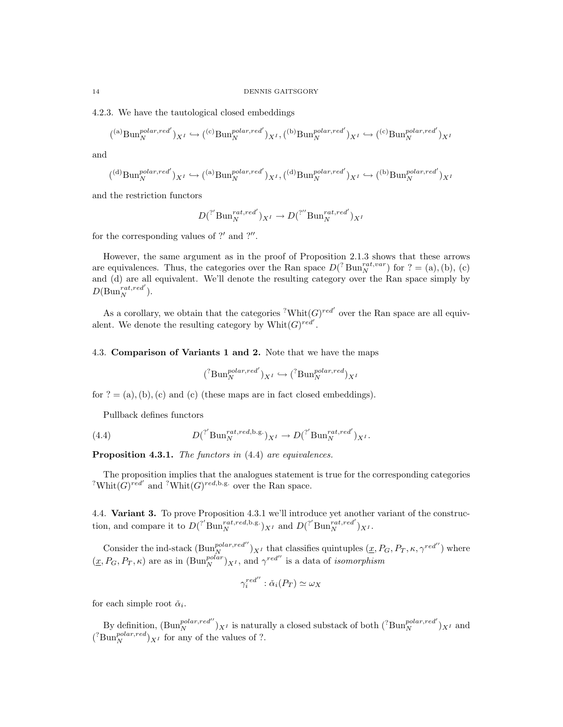4.2.3. We have the tautological closed embeddings

$$
({}^{(a)}\text{Bun}^{polar,red'}_{N})_{X^I} \hookrightarrow ({}^{(c)}\text{Bun}^{polar,red'}_{N})_{X^I}, ({}^{(b)}\text{Bun}^{polar,red'}_{N})_{X^I} \hookrightarrow ({}^{(c)}\text{Bun}^{polar,red'}_{N})_{X^I}
$$

and

$$
({}^{(d)}\text{Bun}_{N}^{polar, red'})_{X^{I}} \hookrightarrow ({}^{(a)}\text{Bun}_{N}^{polar, red'})_{X^{I}}, ({}^{(d)}\text{Bun}_{N}^{polar, red'})_{X^{I}} \hookrightarrow ({}^{(b)}\text{Bun}_{N}^{polar, red'})_{X^{I}}
$$

and the restriction functors

$$
D({}^{?'}\text{Bun}_{N}^{rat,red'})_{X^I} \to D({}^{?''}\text{Bun}_{N}^{rat,red'})_{X^I}
$$

for the corresponding values of  $?'$  and  $?''$ .

However, the same argument as in the proof of Proposition 2.1.3 shows that these arrows are equivalences. Thus, the categories over the Ran space  $D({}^{?}\text{Bun}_N^{rat, var})$  for ? = (a), (b), (c) and (d) are all equivalent. We'll denote the resulting category over the Ran space simply by  $D(\text{Bun}_N^{rat,red}).$ 

As a corollary, we obtain that the categories <sup>?</sup>Whit $(G)^{red'}$  over the Ran space are all equivalent. We denote the resulting category by  $\text{Whit}(G)^{red'}$ .

# 4.3. Comparison of Variants 1 and 2. Note that we have the maps

$$
({}^{?}\text{Bun}_{N}^{polar, red'})_{X^{I}} \hookrightarrow ({}^{?}\text{Bun}_{N}^{polar, red})_{X^{I}}
$$

for  $? = (a), (b), (c)$  and (c) (these maps are in fact closed embeddings).

Pullback defines functors

(4.4) 
$$
D({}^? \text{Bun}_N^{rat, red, b.g.})_{X^I} \to D({}^? \text{Bun}_N^{rat, red'})_{X^I}.
$$

Proposition 4.3.1. The functors in  $(4.4)$  are equivalences.

The proposition implies that the analogues statement is true for the corresponding categories <sup>?</sup>Whit $(G)$ <sup>red'</sup> and <sup>?</sup>Whit $(G)$ <sup>red,b.g.</sup> over the Ran space.

4.4. Variant 3. To prove Proposition 4.3.1 we'll introduce yet another variant of the construction, and compare it to  $D({}^{?}\text{Bun}_{N}^{rat,red,b.g.})_{X^{I}}$  and  $D({}^{?}\text{Bun}_{N}^{rat,red})_{X^{I}}$ .

Consider the ind-stack  $(\text{Bun}_N^{polar, red''})_{X^I}$  that classifies quintuples  $(\underline{x}, P_G, P_T, \kappa, \gamma^{red''})$  where  $(\underline{x}, P_G, P_T, \kappa)$  are as in  $(\text{Bun}_N^{polar})_{X^I}$ , and  $\gamma^{red''}$  is a data of *isomorphism* 

$$
\gamma_i^{red''} : \check{\alpha}_i(P_T) \simeq \omega_X
$$

for each simple root  $\check{\alpha}_i$ .

By definition,  $(\text{Bun}_N^{polar, red''})_{X^I}$  is naturally a closed substack of both  $({}^? \text{Bun}_N^{polar, red'})_{X^I}$  and  $({}^{?}\text{Bun}_{N}^{polar,red})_{X^{I}}$  for any of the values of ?.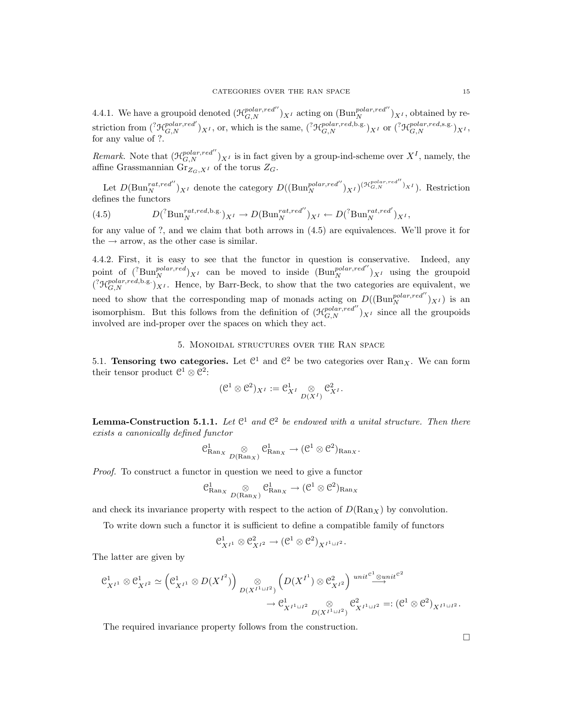4.4.1. We have a groupoid denoted  $(\mathcal{H}_{G,N}^{polar, red''})_{X^I}$  acting on  $(\text{Bun}_{N}^{polar, red''})_{X^I}$ , obtained by restriction from  $({}^? \mathcal{H}_{G,N}^{polar, red'})_{X^I}$ , or, which is the same,  $({}^? \mathcal{H}_{G,N}^{polar, red,b,g.})_{X^I}$  or  $({}^? \mathcal{H}_{G,N}^{polar, red,s,g.})_{X^I}$ , for any value of ?.

Remark. Note that  $(\mathcal{H}_{G,N}^{polar, red''})_{X^I}$  is in fact given by a group-ind-scheme over  $X^I$ , namely, the affine Grassmannian  $\mathrm{Gr}_{Z_G,X^I}$  of the torus  $Z_G$ .

Let  $D(\text{Bun}_N^{rat, red''})_{X^I}$  denote the category  $D((\text{Bun}_N^{polar, red''})_{X^I})^{(\mathcal{H}_{G,N}^{polar, red''})_{X^I}})$ . Restriction defines the functors

(4.5) 
$$
D({}^? \text{Bun}_N^{rat, red, b.g.})_{X^I} \to D(\text{Bun}_N^{rat, red''})_{X^I} \leftarrow D({}^? \text{Bun}_N^{rat, red'})_{X^I},
$$

for any value of ?, and we claim that both arrows in (4.5) are equivalences. We'll prove it for the  $\rightarrow$  arrow, as the other case is similar.

4.4.2. First, it is easy to see that the functor in question is conservative. Indeed, any point of  $({}^{?}\text{Bun}_{N}^{polar, red})_{X^{I}}$  can be moved to inside  $(\text{Bun}_{N}^{polar, red''})_{X^{I}}$  using the groupoid  $({}^{\gamma}\mathcal{H}_{G,N}^{polar, red, b.g.})_{X^I}$ . Hence, by Barr-Beck, to show that the two categories are equivalent, we need to show that the corresponding map of monads acting on  $D((Bun_N^{polar, red''})_{X^I})$  is an isomorphism. But this follows from the definition of  $(\mathcal{H}_{G,N}^{polar, red''})_{X^I}$  since all the groupoids involved are ind-proper over the spaces on which they act.

### 5. Monoidal structures over the Ran space

5.1. Tensoring two categories. Let  $\mathbb{C}^1$  and  $\mathbb{C}^2$  be two categories over Ran<sub>X</sub>. We can form their tensor product  $\mathcal{C}^1 \otimes \mathcal{C}^2$ :

$$
(\mathcal{C}^1\otimes \mathcal{C}^2)_{X^I}:=\mathcal{C}^1_{X^I}\underset{D(X^I)}{\otimes}\mathcal{C}^2_{X^I}.
$$

**Lemma-Construction 5.1.1.** Let  $\mathbb{C}^1$  and  $\mathbb{C}^2$  be endowed with a unital structure. Then there exists a canonically defined functor

$$
\mathcal{C}_{\mathrm{Ran}_X}^1 \underset{D(\mathrm{Ran}_X)}{\otimes} \mathcal{C}_{\mathrm{Ran}_X}^1 \to (\mathcal{C}^1 \otimes \mathcal{C}^2)_{\mathrm{Ran}_X}.
$$

Proof. To construct a functor in question we need to give a functor

$$
\mathcal{C}^1_{\mathrm{Ran}_X}\underset{D(\mathrm{Ran}_X)}{\otimes} \mathcal{C}^1_{\mathrm{Ran}_X}\rightarrow (\mathcal{C}^1\otimes \mathcal{C}^2)_{\mathrm{Ran}_X}
$$

and check its invariance property with respect to the action of  $D(\text{Ran}_X)$  by convolution.

To write down such a functor it is sufficient to define a compatible family of functors

$$
\mathfrak{C}_{X^{I^1}}^1 \otimes \mathfrak{C}_{X^{I^2}}^2 \to (\mathfrak{C}^1 \otimes \mathfrak{C}^2)_{X^{I^1 \sqcup I^2}}.
$$

The latter are given by

$$
\begin{split} \mathfrak{C}^1_{X^{I^1}} \otimes \mathfrak{C}^1_{X^{I^2}} &\simeq \left(\mathfrak{C}^1_{X^{I^1}} \otimes D(X^{I^2})\right) \underset{D(X^{I^1 \sqcup I^2})}{\otimes} \left(D(X^{I^1}) \otimes \mathfrak{C}^2_{X^{I^2}}\right) \overset{unit^{e^1} \otimes unit^{e^2}}{\longrightarrow} \\ &\to \mathfrak{C}^1_{X^{I^1 \sqcup I^2}} \underset{D(X^{I^1 \sqcup I^2})}{\otimes} \mathfrak{C}^2_{X^{I^1 \sqcup I^2}} =: (\mathfrak{C}^1 \otimes \mathfrak{C}^2)_{X^{I^1 \sqcup I^2}}. \end{split}
$$

The required invariance property follows from the construction.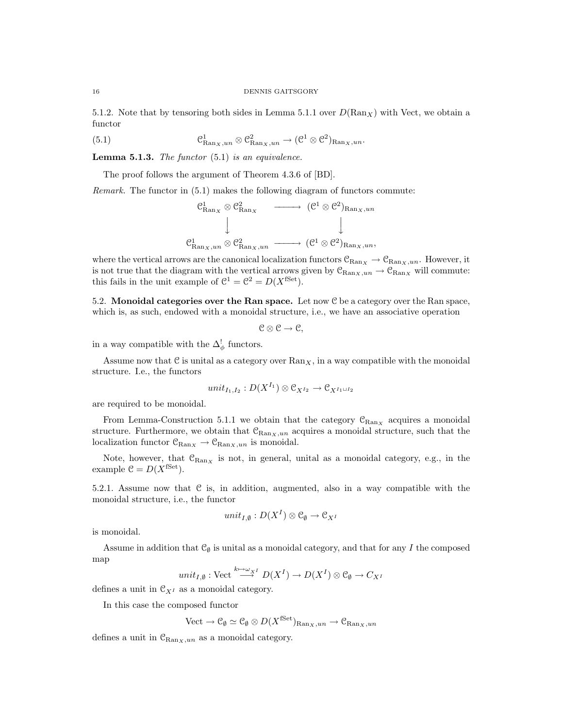5.1.2. Note that by tensoring both sides in Lemma 5.1.1 over  $D(\text{Ran}_X)$  with Vect, we obtain a functor

(5.1) 
$$
\mathcal{C}_{\mathrm{Ran}_X,un}^1 \otimes \mathcal{C}_{\mathrm{Ran}_X,un}^2 \to (\mathcal{C}^1 \otimes \mathcal{C}^2)_{\mathrm{Ran}_X,un}.
$$

**Lemma 5.1.3.** The functor  $(5.1)$  is an equivalence.

The proof follows the argument of Theorem 4.3.6 of [BD].

Remark. The functor in (5.1) makes the following diagram of functors commute:

$$
\begin{array}{ccc}\n\mathcal{C}_{\mathrm{Ran}_X}^1 \otimes \mathcal{C}_{\mathrm{Ran}_X}^2 & \longrightarrow & (\mathcal{C}^1 \otimes \mathcal{C}^2)_{\mathrm{Ran}_X, un} \\
\downarrow & & \downarrow & \\
\mathcal{C}_{\mathrm{Ran}_X, un}^1 \otimes \mathcal{C}_{\mathrm{Ran}_X, un}^2 & \longrightarrow & (\mathcal{C}^1 \otimes \mathcal{C}^2)_{\mathrm{Ran}_X, un},\n\end{array}
$$

where the vertical arrows are the canonical localization functors  $\mathcal{C}_{\text{Ran}_X} \to \mathcal{C}_{\text{Ran}_X,un}$ . However, it is not true that the diagram with the vertical arrows given by  $\mathcal{C}_{\text{Ran}_X,un} \to \mathcal{C}_{\text{Ran}_X}$  will commute: this fails in the unit example of  $\mathcal{C}^1 = \mathcal{C}^2 = D(X^{\text{fSet}})$ .

5.2. Monoidal categories over the Ran space. Let now  $C$  be a category over the Ran space, which is, as such, endowed with a monoidal structure, i.e., we have an associative operation

$$
\mathcal{C}\otimes\mathcal{C}\to\mathcal{C},
$$

in a way compatible with the  $\Delta^!_{\phi}$  functors.

Assume now that  $\mathfrak C$  is unital as a category over  $\text{Ran}_X$ , in a way compatible with the monoidal structure. I.e., the functors

$$
unit_{I_1,I_2}:D(X^{I_1})\otimes \mathcal C_{X^{I_2}}\to \mathcal C_{X^{I_1\sqcup I_2}}
$$

are required to be monoidal.

From Lemma-Construction 5.1.1 we obtain that the category  $\mathcal{C}_{\text{Ran}_X}$  acquires a monoidal structure. Furthermore, we obtain that  $\mathcal{C}_{\text{Ran}_X,un}$  acquires a monoidal structure, such that the localization functor  $\mathcal{C}_{\text{Ran}_X} \to \mathcal{C}_{\text{Ran}_X,un}$  is monoidal.

Note, however, that  $\mathcal{C}_{\text{Ran}_X}$  is not, in general, unital as a monoidal category, e.g., in the example  $C = D(X^{\text{fSet}})$ .

5.2.1. Assume now that C is, in addition, augmented, also in a way compatible with the monoidal structure, i.e., the functor

$$
unit_{I,\emptyset}:D(X^I)\otimes\mathcal{C}_\emptyset\to\mathcal{C}_{X^I}
$$

is monoidal.

Assume in addition that  $\mathcal{C}_{\emptyset}$  is unital as a monoidal category, and that for any I the composed map

$$
unit_{I,\emptyset}: \text{Vect} \xrightarrow{k \mapsto \omega_{X}^{I}} D(X^{I}) \to D(X^{I}) \otimes \mathcal{C}_{\emptyset} \to C_{X^{I}}
$$

defines a unit in  $\mathfrak{C}_{X^I}$  as a monoidal category.

In this case the composed functor

 $Vect \to \mathcal{C}_{\emptyset} \simeq \mathcal{C}_{\emptyset} \otimes D(X^{\text{fSet}})_{\text{Ran}_X,un} \to \mathcal{C}_{\text{Ran}_X,un}$ 

defines a unit in  $\mathcal{C}_{\text{Ran}_X,un}$  as a monoidal category.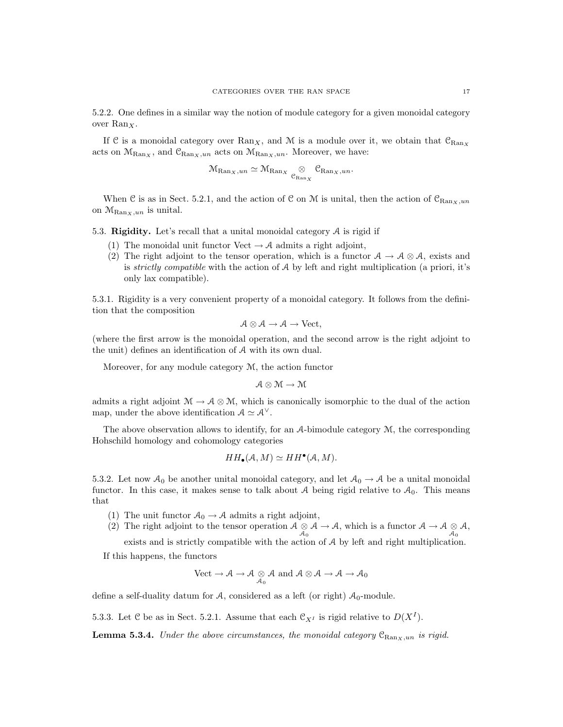5.2.2. One defines in a similar way the notion of module category for a given monoidal category over  $\text{Ran}_X$ .

If C is a monoidal category over  $\text{Ran}_X$ , and M is a module over it, we obtain that  $\mathcal{C}_{\text{Ran}_X}$ acts on  $M_{\text{Ran}_X}$ , and  $\mathcal{C}_{\text{Ran}_X,un}$  acts on  $M_{\text{Ran}_X,un}$ . Moreover, we have:

$$
\mathcal{M}_{\mathrm{Ran}_X,un} \simeq \mathcal{M}_{\mathrm{Ran}_X} \underset{\mathcal{C}_{\mathrm{Ran}_X}}{\otimes} \mathcal{C}_{\mathrm{Ran}_X,un}.
$$

When C is as in Sect. 5.2.1, and the action of C on M is unital, then the action of  $C_{\text{Ban }x,\text{un}}$ on  $\mathcal{M}_{\text{Ran}_X,un}$  is unital.

5.3. Rigidity. Let's recall that a unital monoidal category  $A$  is rigid if

- (1) The monoidal unit functor Vect  $\rightarrow \mathcal{A}$  admits a right adjoint,
- (2) The right adjoint to the tensor operation, which is a functor  $A \to A \otimes A$ , exists and is strictly compatible with the action of  $A$  by left and right multiplication (a priori, it's only lax compatible).

5.3.1. Rigidity is a very convenient property of a monoidal category. It follows from the definition that the composition

$$
\mathcal{A}\otimes\mathcal{A}\to\mathcal{A}\to\mathrm{Vect},
$$

(where the first arrow is the monoidal operation, and the second arrow is the right adjoint to the unit) defines an identification of A with its own dual.

Moreover, for any module category M, the action functor

$$
\mathcal{A}\otimes\mathcal{M}\to\mathcal{M}
$$

admits a right adjoint  $\mathcal{M} \to \mathcal{A} \otimes \mathcal{M}$ , which is canonically isomorphic to the dual of the action map, under the above identification  $A \simeq A^{\vee}$ .

The above observation allows to identify, for an A-bimodule category M, the corresponding Hohschild homology and cohomology categories

$$
HH_{\bullet}(\mathcal{A},M)\simeq HH^{\bullet}(\mathcal{A},M).
$$

5.3.2. Let now  $\mathcal{A}_0$  be another unital monoidal category, and let  $\mathcal{A}_0 \to \mathcal{A}$  be a unital monoidal functor. In this case, it makes sense to talk about A being rigid relative to  $A_0$ . This means that

- (1) The unit functor  $A_0 \rightarrow A$  admits a right adjoint,
- (2) The right adjoint to the tensor operation  $A \otimes A \to A$ , which is a functor  $A \to A \otimes A$ ,  $A_0$

exists and is strictly compatible with the action of A by left and right multiplication. If this happens, the functors

$$
\text{Vect} \to \mathcal{A} \to \mathcal{A} \underset{\mathcal{A}_0}{\otimes} \mathcal{A} \text{ and } \mathcal{A} \otimes \mathcal{A} \to \mathcal{A} \to \mathcal{A}_0
$$

define a self-duality datum for A, considered as a left (or right)  $A_0$ -module.

5.3.3. Let C be as in Sect. 5.2.1. Assume that each  $\mathcal{C}_{X^I}$  is rigid relative to  $D(X^I)$ .

**Lemma 5.3.4.** Under the above circumstances, the monoidal category  $C_{\text{Ran}_X,un}$  is rigid.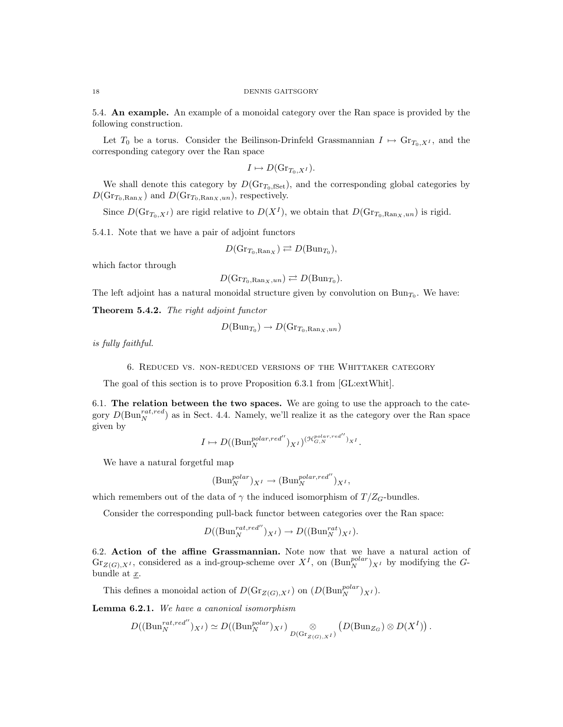5.4. An example. An example of a monoidal category over the Ran space is provided by the following construction.

Let  $T_0$  be a torus. Consider the Beilinson-Drinfeld Grassmannian  $I \mapsto \mathrm{Gr}_{T_0, X^I}$ , and the corresponding category over the Ran space

$$
I \mapsto D(\mathrm{Gr}_{T_0, X^I}).
$$

We shall denote this category by  $D(\text{Gr}_{T_0,\text{fSet}})$ , and the corresponding global categories by  $D(\text{Gr}_{T_0, \text{Ran}_X})$  and  $D(\text{Gr}_{T_0, \text{Ran}_X,un})$ , respectively.

Since  $D(\text{Gr}_{T_0, X^I})$  are rigid relative to  $D(X^I)$ , we obtain that  $D(\text{Gr}_{T_0, \text{Ran}_X, un})$  is rigid.

5.4.1. Note that we have a pair of adjoint functors

$$
D(\mathrm{Gr}_{T_0,\mathrm{Ran}_X}) \rightleftarrows D(\mathrm{Bun}_{T_0}),
$$

which factor through

$$
D(\mathrm{Gr}_{T_0, \mathrm{Ran}_X, un}) \rightleftarrows D(\mathrm{Bun}_{T_0}).
$$

The left adjoint has a natural monoidal structure given by convolution on  $Bun_{T_0}$ . We have:

Theorem 5.4.2. The right adjoint functor

$$
D(\mathrm{Bun}_{T_0}) \to D(\mathrm{Gr}_{T_0,\mathrm{Ran}_X,un})
$$

is fully faithful.

6. Reduced vs. non-reduced versions of the Whittaker category

The goal of this section is to prove Proposition 6.3.1 from [GL:extWhit].

6.1. The relation between the two spaces. We are going to use the approach to the category  $D(\text{Bun}_{N}^{rat,red})$  as in Sect. 4.4. Namely, we'll realize it as the category over the Ran space given by

$$
I \mapsto D((\text{Bun}_{N}^{\text{polar}, \text{red}''})_{X^{I}})^{(\mathcal{H}_{G,N}^{\text{polar}, \text{red}''})_{X^{I}}}.
$$

We have a natural forgetful map

$$
(\mathrm{Bun}_N^{polar})_{X^I} \to (\mathrm{Bun}_N^{polar, red''})_{X^I},
$$

which remembers out of the data of  $\gamma$  the induced isomorphism of  $T/Z_G$ -bundles.

Consider the corresponding pull-back functor between categories over the Ran space:

$$
D((Bun_N^{rat, red''})_{X^I}) \to D((Bun_N^{rat})_{X^I}).
$$

6.2. Action of the affine Grassmannian. Note now that we have a natural action of  $\text{Gr}_{Z(G),X^I}$ , considered as a ind-group-scheme over  $X^I$ , on  $(\text{Bun}_N^{polar})_{X^I}$  by modifying the Gbundle at x.

This defines a monoidal action of  $D(\text{Gr}_{Z(G),X^I})$  on  $(D(\text{Bun}_N^{polar})_{X^I})$ .

Lemma 6.2.1. We have a canonical isomorphism

$$
D((Bun_N^{rat,red''})_{X^I}) \simeq D((Bun_N^{polar})_{X^I})_{D(\text{Gr}_{Z(G),X^I})} \otimes (D(\text{Bun}_{Z_G}) \otimes D(X^I)).
$$